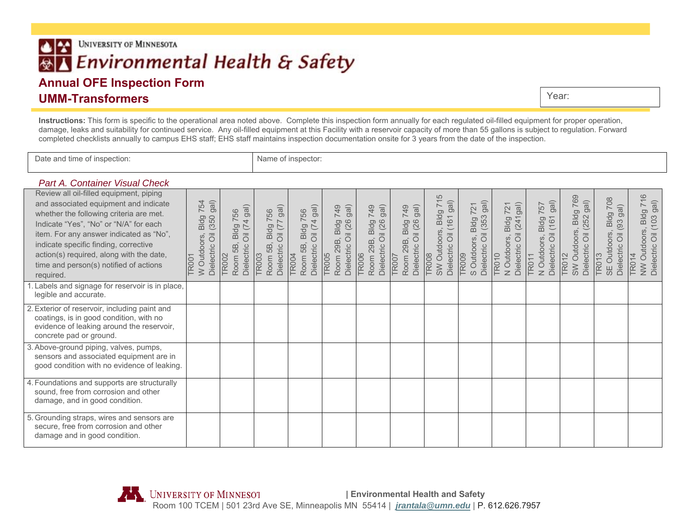# **UNIVERSITY OF MINNESOTA**  $\bullet$ Environmental Health & Safety **Annual OFE Inspection Form**

# **UMM-Transformers**

Year:

**Instructions:** This form is specific to the operational area noted above. Complete this inspection form annually for each regulated oil-filled equipment for proper operation, damage, leaks and suitability for continued service. Any oil-filled equipment at this Facility with a reservoir capacity of more than 55 gallons is subject to regulation. Forward completed checklists annually to campus EHS staff; EHS staff maintains inspection documentation onsite for 3 years from the date of the inspection.

Date and time of inspection: Name of inspector:

#### *Part A. Container Visual Check*

| Review all oil-filled equipment, piping<br>and associated equipment and indicate<br>whether the following criteria are met.<br>Indicate "Yes", "No" or "N/A" for each<br>item. For any answer indicated as "No",<br>indicate specific finding, corrective<br>action(s) required, along with the date,<br>time and person(s) notified of actions<br>required.<br>Labels and signage for reservoir is in place, | gal)<br>754<br>(350)<br>Bldg<br>$\overline{\overline{0}}$<br>W Outdoors,<br>Dielectric<br><b>TR001</b> | $(74$ gal)<br><b>Bldg 756</b><br>$\overline{\overline{O}}$<br>Dielectric<br>5B<br><b>TR002</b><br>Room | gal)<br><b>Bldg 756</b><br>$\overline{\overline{O}}$<br>Dielectric<br>5B<br><b>TR003</b><br>Room | gal)<br><b>Bldg 756</b><br>$\overline{4}$<br>ヒ<br>$\overline{\overline{O}}$<br>5B,<br>Dielectric<br><b>TR004</b><br>Room | gal)<br>749<br>Bldg<br>il (26<br>$\overline{\overline{O}}$<br>29B,<br>Dielectric<br><b>TR005</b><br>Room | gal)<br>749<br>Bldg<br>il (26<br>$\overline{\overline{O}}$<br>29B,<br>Dielectric<br><b>TR006</b><br>Room | $g$ al)<br>749<br>B, Bldg<br>Oil (26<br>29B,<br>Dielectric<br>TR007<br>Room | Bldg 715<br>$g$ al)<br>161<br>SW Outdoors,<br>$\overline{\overline{O}}$<br>Dielectric<br><b>TR008</b> | gal)<br>721<br>(353)<br>Bldg<br>$\overline{\overline{O}}$<br>S Outdoors,<br>Dielectric<br><b>TR009</b> | $(241)$ gal)<br><b>Bldg 721</b><br>$\overline{\overline{O}}$<br>N Outdoors,<br>Dielectric<br><b>TR010</b> | gal)<br>757<br>(161)<br>Bldg<br>$\overline{\overline{O}}$<br>N Outdoors,<br>Dielectric<br><b>TR011</b> | Bldg 769<br>gal)<br>(252)<br>SW Outdoors,<br>$\overline{\overline{O}}$<br>Dielectric<br><b>TR012</b> | 708<br>gal)<br>Bldg<br>(93)<br>SE Outdoors,<br>$\overline{\overline{O}}$<br>Dielectric<br><b>TR013</b> | <b>Bldg 716</b><br>$g$ al)<br>Oil (103<br>NW Outdoors, I<br>Dielectric Oil (1<br><b>TR014</b> |
|---------------------------------------------------------------------------------------------------------------------------------------------------------------------------------------------------------------------------------------------------------------------------------------------------------------------------------------------------------------------------------------------------------------|--------------------------------------------------------------------------------------------------------|--------------------------------------------------------------------------------------------------------|--------------------------------------------------------------------------------------------------|--------------------------------------------------------------------------------------------------------------------------|----------------------------------------------------------------------------------------------------------|----------------------------------------------------------------------------------------------------------|-----------------------------------------------------------------------------|-------------------------------------------------------------------------------------------------------|--------------------------------------------------------------------------------------------------------|-----------------------------------------------------------------------------------------------------------|--------------------------------------------------------------------------------------------------------|------------------------------------------------------------------------------------------------------|--------------------------------------------------------------------------------------------------------|-----------------------------------------------------------------------------------------------|
| legible and accurate.<br>2. Exterior of reservoir, including paint and<br>coatings, is in good condition, with no<br>evidence of leaking around the reservoir,<br>concrete pad or ground.                                                                                                                                                                                                                     |                                                                                                        |                                                                                                        |                                                                                                  |                                                                                                                          |                                                                                                          |                                                                                                          |                                                                             |                                                                                                       |                                                                                                        |                                                                                                           |                                                                                                        |                                                                                                      |                                                                                                        |                                                                                               |
| 3. Above-ground piping, valves, pumps,<br>sensors and associated equipment are in<br>good condition with no evidence of leaking.                                                                                                                                                                                                                                                                              |                                                                                                        |                                                                                                        |                                                                                                  |                                                                                                                          |                                                                                                          |                                                                                                          |                                                                             |                                                                                                       |                                                                                                        |                                                                                                           |                                                                                                        |                                                                                                      |                                                                                                        |                                                                                               |
| 4. Foundations and supports are structurally<br>sound, free from corrosion and other<br>damage, and in good condition.                                                                                                                                                                                                                                                                                        |                                                                                                        |                                                                                                        |                                                                                                  |                                                                                                                          |                                                                                                          |                                                                                                          |                                                                             |                                                                                                       |                                                                                                        |                                                                                                           |                                                                                                        |                                                                                                      |                                                                                                        |                                                                                               |
| 5. Grounding straps, wires and sensors are<br>secure, free from corrosion and other<br>damage and in good condition.                                                                                                                                                                                                                                                                                          |                                                                                                        |                                                                                                        |                                                                                                  |                                                                                                                          |                                                                                                          |                                                                                                          |                                                                             |                                                                                                       |                                                                                                        |                                                                                                           |                                                                                                        |                                                                                                      |                                                                                                        |                                                                                               |

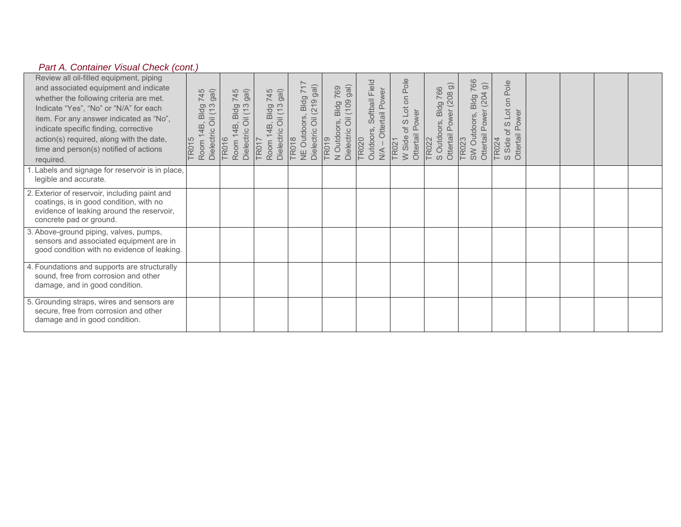## *Part A. Container Visual Check (cont.)*

| Review all oil-filled equipment, piping<br>and associated equipment and indicate<br>whether the following criteria are met.<br>Indicate "Yes", "No" or "N/A" for each<br>item. For any answer indicated as "No",<br>indicate specific finding, corrective<br>action(s) required, along with the date,<br>time and person(s) notified of actions<br>required. | gal)<br>745<br>3, Bldg<br>Oil (13<br>14B,<br>Dielectric<br><b>TR015</b><br>Room | 745<br>gal)<br>3, Bldg<br>Oil (13<br>14B,<br>Dielectric<br><b>TR016</b><br>Room | 745<br>gal)<br>Bldg<br>il (13<br>$\overline{d}$<br>14B,<br>Dielectric<br><b>TR017</b><br>Room | NE Outdoors, Bldg 717<br>$g$ al)<br>(219)<br>$\overline{\overline{\circ}}$<br>Dielectric<br><b>TR018</b> | $g$ al)<br>Bldg 769<br>  (109 gal)<br>$\overline{\overline{O}}$<br>N Outdoors,<br>Dielectric<br><b>TR019</b> | Softball Field<br>Ottertail Power<br>Outdoors, 3<br><b>TR020</b><br>$M +$ | of S Lot on Pole<br>Ottertail Power<br>W Side<br>TR021 | $\widehat{\Theta}$<br>766<br>(208)<br>S Outdoors, Bldg<br>Ottertail Power<br><b>TR022</b> | 766<br>$\widehat{\Theta}$<br>(204)<br>SW Outdoors, Bldg<br>Ottertail Power<br><b>TR023</b> | Pole<br>Lot on I<br>Ottertail Power<br>S<br>$\overline{\sigma}$<br>Side<br>TR024<br>$\omega$ |  |  |
|--------------------------------------------------------------------------------------------------------------------------------------------------------------------------------------------------------------------------------------------------------------------------------------------------------------------------------------------------------------|---------------------------------------------------------------------------------|---------------------------------------------------------------------------------|-----------------------------------------------------------------------------------------------|----------------------------------------------------------------------------------------------------------|--------------------------------------------------------------------------------------------------------------|---------------------------------------------------------------------------|--------------------------------------------------------|-------------------------------------------------------------------------------------------|--------------------------------------------------------------------------------------------|----------------------------------------------------------------------------------------------|--|--|
| Labels and signage for reservoir is in place,<br>legible and accurate.                                                                                                                                                                                                                                                                                       |                                                                                 |                                                                                 |                                                                                               |                                                                                                          |                                                                                                              |                                                                           |                                                        |                                                                                           |                                                                                            |                                                                                              |  |  |
| 2. Exterior of reservoir, including paint and<br>coatings, is in good condition, with no<br>evidence of leaking around the reservoir,<br>concrete pad or ground.                                                                                                                                                                                             |                                                                                 |                                                                                 |                                                                                               |                                                                                                          |                                                                                                              |                                                                           |                                                        |                                                                                           |                                                                                            |                                                                                              |  |  |
| 3. Above-ground piping, valves, pumps,<br>sensors and associated equipment are in<br>good condition with no evidence of leaking.                                                                                                                                                                                                                             |                                                                                 |                                                                                 |                                                                                               |                                                                                                          |                                                                                                              |                                                                           |                                                        |                                                                                           |                                                                                            |                                                                                              |  |  |
| 4. Foundations and supports are structurally<br>sound, free from corrosion and other<br>damage, and in good condition.                                                                                                                                                                                                                                       |                                                                                 |                                                                                 |                                                                                               |                                                                                                          |                                                                                                              |                                                                           |                                                        |                                                                                           |                                                                                            |                                                                                              |  |  |
| 5. Grounding straps, wires and sensors are<br>secure, free from corrosion and other<br>damage and in good condition.                                                                                                                                                                                                                                         |                                                                                 |                                                                                 |                                                                                               |                                                                                                          |                                                                                                              |                                                                           |                                                        |                                                                                           |                                                                                            |                                                                                              |  |  |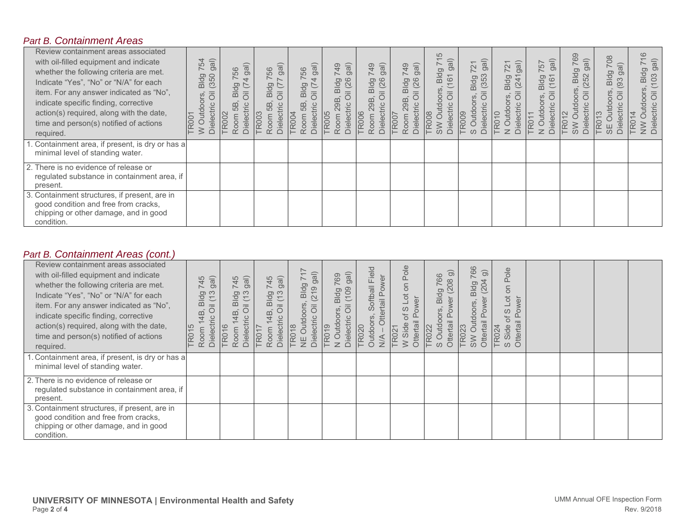#### *Part B. Containment Areas*

| Review containment areas associated<br>with oil-filled equipment and indicate<br>whether the following criteria are met.<br>Indicate "Yes", "No" or "N/A" for each<br>item. For any answer indicated as "No",<br>indicate specific finding, corrective<br>action(s) required, along with the date,<br>time and person(s) notified of actions<br>required. | $\widehat{g}$<br>54<br>$\sim$<br>(350)<br>gp<br>$\overline{\overline{\mathsf{m}}}$<br>$\overline{\overline{O}}$<br>SJO<br><b>Dielectric</b><br>Outd<br><b>TR001</b><br>≧ | gal)<br>56<br>$\overline{ }$<br>0<br>$\overline{\overline{O}}$<br>മ<br>Dielectric<br>5B<br><b>TR002</b><br>oom | gal)<br>56<br>$\sigma$<br>Ō<br>$\overline{\overline{0}}$<br>D.<br>Dielectric<br>6B<br><b>TR003</b><br>oom<br>$\sim$ | gal)<br>56<br>$\overline{ }$<br>$\sigma$<br>ᅙ<br>$\overline{\overline{0}}$<br>$\mathbf{\underline{\underline{\mathrm{m}}}}$<br>Dielectric<br>5B<br><b>TR004</b><br>moo | gal)<br>$\overline{5}$<br>(26)<br>G<br>$\frac{1}{10}$<br>29B<br>Dielectric<br><b>TR005</b><br>Room | $\widehat{g}$<br>$\overline{9}$<br>(26)<br>Bldg<br>29B<br>Dielectric<br><b>TR006</b><br>Room | $\widehat{g}$<br>$\overline{5}$<br>(26)<br>Bldg<br>29B<br>Dielectric<br><b>TR007</b><br>Room | $\sqrt{2}$<br>gal)<br>Bldg<br>161<br>$\overline{\overline{0}}$<br><b>Dielectric</b><br><b>TR008</b><br><b>NS</b> | $\widehat{g}$<br>$\overline{2}1$<br>$\overline{\phantom{0}}$<br>Bldg<br>5<br>$\widetilde{\omega}$<br>3<br>Outdoo<br>ပ<br>Dielectri<br><b>TR009</b><br>$\omega$ | gal)<br>$\sim$<br>$\sim$<br>Bldg<br>(24)<br>S<br>Dielectri<br>Outde<br><b>TR010</b><br>$\overline{z}$ | gal)<br>757<br>Bldg<br>$\circ$<br>S<br>Dielectri<br>Outde<br>TR01<br>$\overline{z}$ | 69<br>gal)<br>$\sim$<br>Bldg<br>52<br>$\sim$<br>tdoors<br>ectri<br>TR <sub>O</sub><br>Diel<br><b>NS</b> | 708<br>gal)<br><b>Bldg</b><br>93<br>ίN.<br>宗<br>tdooi<br>TR <sub>01</sub><br>Φ<br>Diel<br>$\frac{1}{3}$ | $\frac{8}{1}$<br>$g$ al)<br>$\overline{}$<br>Bldg<br>(103)<br>utdoors<br>$\overline{\overline{O}}$<br>NW Outdo<br>Dielectric |
|-----------------------------------------------------------------------------------------------------------------------------------------------------------------------------------------------------------------------------------------------------------------------------------------------------------------------------------------------------------|--------------------------------------------------------------------------------------------------------------------------------------------------------------------------|----------------------------------------------------------------------------------------------------------------|---------------------------------------------------------------------------------------------------------------------|------------------------------------------------------------------------------------------------------------------------------------------------------------------------|----------------------------------------------------------------------------------------------------|----------------------------------------------------------------------------------------------|----------------------------------------------------------------------------------------------|------------------------------------------------------------------------------------------------------------------|----------------------------------------------------------------------------------------------------------------------------------------------------------------|-------------------------------------------------------------------------------------------------------|-------------------------------------------------------------------------------------|---------------------------------------------------------------------------------------------------------|---------------------------------------------------------------------------------------------------------|------------------------------------------------------------------------------------------------------------------------------|
| . Containment area, if present, is dry or has a<br>minimal level of standing water.                                                                                                                                                                                                                                                                       |                                                                                                                                                                          |                                                                                                                |                                                                                                                     |                                                                                                                                                                        |                                                                                                    |                                                                                              |                                                                                              |                                                                                                                  |                                                                                                                                                                |                                                                                                       |                                                                                     |                                                                                                         |                                                                                                         |                                                                                                                              |
| 2. There is no evidence of release or<br>regulated substance in containment area, if<br>present.                                                                                                                                                                                                                                                          |                                                                                                                                                                          |                                                                                                                |                                                                                                                     |                                                                                                                                                                        |                                                                                                    |                                                                                              |                                                                                              |                                                                                                                  |                                                                                                                                                                |                                                                                                       |                                                                                     |                                                                                                         |                                                                                                         |                                                                                                                              |
| . Containment structures, if present, are in<br>3.<br>good condition and free from cracks,<br>chipping or other damage, and in good<br>condition.                                                                                                                                                                                                         |                                                                                                                                                                          |                                                                                                                |                                                                                                                     |                                                                                                                                                                        |                                                                                                    |                                                                                              |                                                                                              |                                                                                                                  |                                                                                                                                                                |                                                                                                       |                                                                                     |                                                                                                         |                                                                                                         |                                                                                                                              |

## *Part B. Containment Areas (cont.)*

| Review containment areas associated<br>with oil-filled equipment and indicate<br>whether the following criteria are met.<br>Indicate "Yes", "No" or "N/A" for each<br>item. For any answer indicated as "No",<br>indicate specific finding, corrective<br>action(s) required, along with the date,<br>time and person(s) notified of actions<br>required. | gal)<br>745<br>Bldg<br>il (13<br>$\overline{\overline{O}}$<br>4B<br>$\overline{c}$<br>Dielectr<br>TR015<br>Room | gal)<br>745<br>$\frac{10}{2}$<br>4B<br>Dielectric<br><b>TR016</b><br>Room | gal)<br>745<br>Bldg<br>il (13<br>$\overline{4}$<br>Dielectr<br>Room<br><b>TR01</b> | $\stackrel{>}{\rightarrow}$<br>$\widehat{g}$<br>$\overline{}$<br>Bldg<br>$\circ$<br>$\overline{2}1$<br>ors<br>$\overline{\overline{O}}$<br>Outdo<br><b>Dielectri</b><br><b>TR018</b><br>Ψ | $\widehat{g}$<br>769<br>(109)<br>Bldg<br>N Outdoors<br>Dielectric<br>$\frac{6}{5}$<br>TR <sub>0</sub> | Softball Field<br>rtail Power<br>Outdoors<br><b>TR020</b><br>$\frac{4}{2}$ | Pole<br>S<br>$\overline{C}$<br>ower<br>S<br>ಿನ<br>Ottertail<br>W Side<br>TR021 | ි<br>766<br>(208)<br>Bldg<br>ver<br>SJO<br>$\circ$<br>Ottertail<br>S Outd<br><b>TR022</b> | 766<br>$\widehat{\Theta}$<br>204<br>Bldg<br>owe<br>doors,<br>Ottertail<br><b>TR023</b><br>SW | Pole<br>S<br>$\overline{a}$<br>wer<br>$\omega$<br>Ō<br>Q<br>Ó<br>Ottertail<br>Side<br><b>TR024</b><br>$\omega$ |  |  |
|-----------------------------------------------------------------------------------------------------------------------------------------------------------------------------------------------------------------------------------------------------------------------------------------------------------------------------------------------------------|-----------------------------------------------------------------------------------------------------------------|---------------------------------------------------------------------------|------------------------------------------------------------------------------------|-------------------------------------------------------------------------------------------------------------------------------------------------------------------------------------------|-------------------------------------------------------------------------------------------------------|----------------------------------------------------------------------------|--------------------------------------------------------------------------------|-------------------------------------------------------------------------------------------|----------------------------------------------------------------------------------------------|----------------------------------------------------------------------------------------------------------------|--|--|
| . Containment area, if present, is dry or has a<br>minimal level of standing water.                                                                                                                                                                                                                                                                       |                                                                                                                 |                                                                           |                                                                                    |                                                                                                                                                                                           |                                                                                                       |                                                                            |                                                                                |                                                                                           |                                                                                              |                                                                                                                |  |  |
| 2. There is no evidence of release or<br>regulated substance in containment area, if<br>present.                                                                                                                                                                                                                                                          |                                                                                                                 |                                                                           |                                                                                    |                                                                                                                                                                                           |                                                                                                       |                                                                            |                                                                                |                                                                                           |                                                                                              |                                                                                                                |  |  |
| 3. Containment structures, if present, are in<br>good condition and free from cracks,<br>chipping or other damage, and in good<br>condition.                                                                                                                                                                                                              |                                                                                                                 |                                                                           |                                                                                    |                                                                                                                                                                                           |                                                                                                       |                                                                            |                                                                                |                                                                                           |                                                                                              |                                                                                                                |  |  |